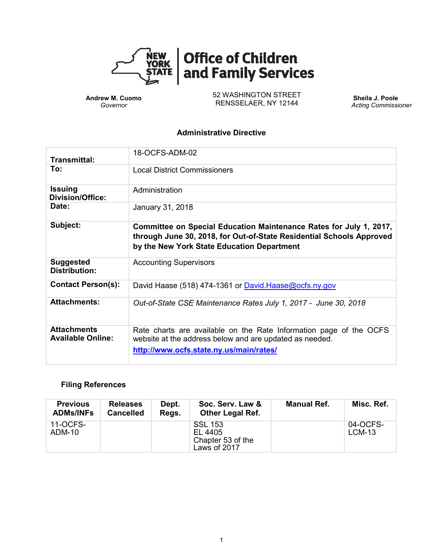

# **Office of Children<br>and Family Services**

**Andrew M. Cuomo** *Governor*

52 WASHINGTON STREET RENSSELAER, NY 12144

**Sheila J. Poole** *Acting Commissioner*

#### **Administrative Directive**

| Transmittal:                                   | 18-OCFS-ADM-02                                                                                                                                                                           |
|------------------------------------------------|------------------------------------------------------------------------------------------------------------------------------------------------------------------------------------------|
| To:                                            | <b>Local District Commissioners</b>                                                                                                                                                      |
| <b>Issuing</b><br><b>Division/Office:</b>      | Administration                                                                                                                                                                           |
| Date:                                          | January 31, 2018                                                                                                                                                                         |
| Subject:                                       | Committee on Special Education Maintenance Rates for July 1, 2017,<br>through June 30, 2018, for Out-of-State Residential Schools Approved<br>by the New York State Education Department |
| <b>Suggested</b><br><b>Distribution:</b>       | <b>Accounting Supervisors</b>                                                                                                                                                            |
| <b>Contact Person(s):</b>                      | David Haase (518) 474-1361 or David Haase@ocfs.ny.gov                                                                                                                                    |
| <b>Attachments:</b>                            | Out-of-State CSE Maintenance Rates July 1, 2017 - June 30, 2018                                                                                                                          |
| <b>Attachments</b><br><b>Available Online:</b> | Rate charts are available on the Rate Information page of the OCFS<br>website at the address below and are updated as needed.<br>http://www.ocfs.state.ny.us/main/rates/                 |

# **Filing References**

| <b>Previous</b><br><b>ADMs/INFs</b> | <b>Releases</b><br><b>Cancelled</b> | Dept.<br>Regs. | Soc. Serv. Law &<br><b>Other Legal Ref.</b>                    | <b>Manual Ref.</b> | Misc. Ref.           |
|-------------------------------------|-------------------------------------|----------------|----------------------------------------------------------------|--------------------|----------------------|
| 11-OCFS-<br>ADM-10                  |                                     |                | <b>SSL 153</b><br>EL 4405<br>Chapter 53 of the<br>Laws of 2017 |                    | 04-OCFS-<br>$LCM-13$ |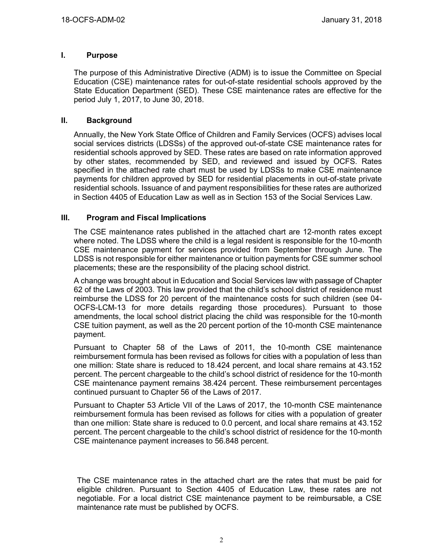#### **I. Purpose**

The purpose of this Administrative Directive (ADM) is to issue the Committee on Special Education (CSE) maintenance rates for out-of-state residential schools approved by the State Education Department (SED). These CSE maintenance rates are effective for the period July 1, 2017, to June 30, 2018.

#### **II. Background**

Annually, the New York State Office of Children and Family Services (OCFS) advises local social services districts (LDSSs) of the approved out-of-state CSE maintenance rates for residential schools approved by SED. These rates are based on rate information approved by other states, recommended by SED, and reviewed and issued by OCFS. Rates specified in the attached rate chart must be used by LDSSs to make CSE maintenance payments for children approved by SED for residential placements in out-of-state private residential schools. Issuance of and payment responsibilities for these rates are authorized in Section 4405 of Education Law as well as in Section 153 of the Social Services Law.

#### **III. Program and Fiscal Implications**

The CSE maintenance rates published in the attached chart are 12-month rates except where noted. The LDSS where the child is a legal resident is responsible for the 10-month CSE maintenance payment for services provided from September through June. The LDSS is not responsible for either maintenance or tuition payments for CSE summer school placements; these are the responsibility of the placing school district.

A change was brought about in Education and Social Services law with passage of Chapter 62 of the Laws of 2003. This law provided that the child's school district of residence must reimburse the LDSS for 20 percent of the maintenance costs for such children (see 04- OCFS-LCM-13 for more details regarding those procedures). Pursuant to those amendments, the local school district placing the child was responsible for the 10-month CSE tuition payment, as well as the 20 percent portion of the 10-month CSE maintenance payment.

Pursuant to Chapter 58 of the Laws of 2011, the 10-month CSE maintenance reimbursement formula has been revised as follows for cities with a population of less than one million: State share is reduced to 18.424 percent, and local share remains at 43.152 percent. The percent chargeable to the child's school district of residence for the 10-month CSE maintenance payment remains 38.424 percent. These reimbursement percentages continued pursuant to Chapter 56 of the Laws of 2017.

Pursuant to Chapter 53 Article VII of the Laws of 2017, the 10-month CSE maintenance reimbursement formula has been revised as follows for cities with a population of greater than one million: State share is reduced to 0.0 percent, and local share remains at 43.152 percent. The percent chargeable to the child's school district of residence for the 10-month CSE maintenance payment increases to 56.848 percent.

The CSE maintenance rates in the attached chart are the rates that must be paid for eligible children. Pursuant to Section 4405 of Education Law, these rates are not negotiable. For a local district CSE maintenance payment to be reimbursable, a CSE maintenance rate must be published by OCFS.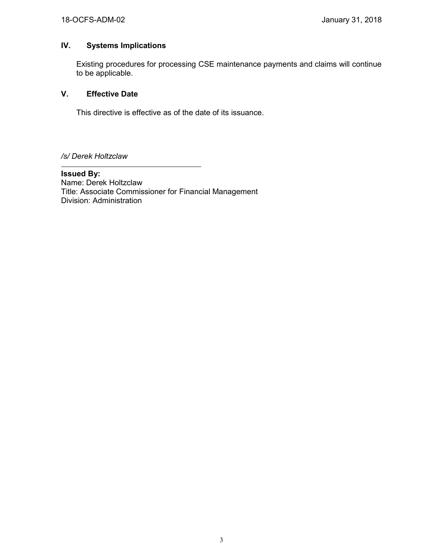## **IV. Systems Implications**

Existing procedures for processing CSE maintenance payments and claims will continue to be applicable.

### **V. Effective Date**

This directive is effective as of the date of its issuance.

*/s/ Derek Holtzclaw*

**Issued By:** Name: Derek Holtzclaw Title: Associate Commissioner for Financial Management Division: Administration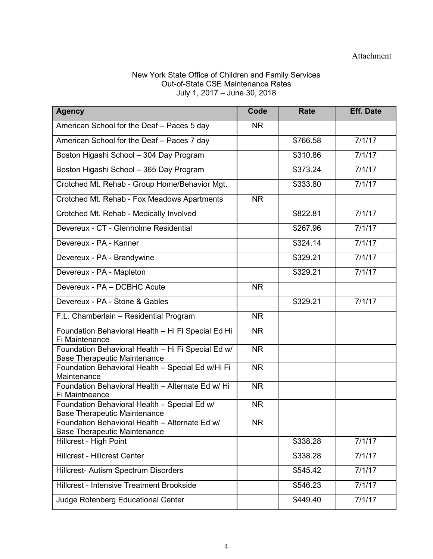#### New York State Office of Children and Family Services Out-of-State CSE Maintenance Rates July 1, 2017 – June 30, 2018

| <b>Agency</b>                                                                             | Code      | Rate     | <b>Eff. Date</b> |
|-------------------------------------------------------------------------------------------|-----------|----------|------------------|
| American School for the Deaf - Paces 5 day                                                | <b>NR</b> |          |                  |
| American School for the Deaf - Paces 7 day                                                |           | \$766.58 | 7/1/17           |
| Boston Higashi School - 304 Day Program                                                   |           | \$310.86 | 7/1/17           |
| Boston Higashi School - 365 Day Program                                                   |           | \$373.24 | 7/1/17           |
| Crotched Mt. Rehab - Group Home/Behavior Mgt.                                             |           | \$333.80 | 7/1/17           |
| Crotched Mt. Rehab - Fox Meadows Apartments                                               | NR        |          |                  |
| Crotched Mt. Rehab - Medically Involved                                                   |           | \$822.81 | 7/1/17           |
| Devereux - CT - Glenholme Residential                                                     |           | \$267.96 | 7/1/17           |
| Devereux - PA - Kanner                                                                    |           | \$324.14 | 7/1/17           |
| Devereux - PA - Brandywine                                                                |           | \$329.21 | 7/1/17           |
| Devereux - PA - Mapleton                                                                  |           | \$329.21 | 7/1/17           |
| Devereux - PA - DCBHC Acute                                                               | NR        |          |                  |
| Devereux - PA - Stone & Gables                                                            |           | \$329.21 | 7/1/17           |
| F.L. Chamberlain - Residential Program                                                    | <b>NR</b> |          |                  |
| Foundation Behavioral Health - Hi Fi Special Ed Hi<br>Fi Maintenance                      | <b>NR</b> |          |                  |
| Foundation Behavioral Health - Hi Fi Special Ed w/<br><b>Base Therapeutic Maintenance</b> | <b>NR</b> |          |                  |
| Foundation Behavioral Health - Special Ed w/Hi Fi<br>Maintenance                          | <b>NR</b> |          |                  |
| Foundation Behavioral Health - Alternate Ed w/ Hi<br>Fi Maintneance                       | <b>NR</b> |          |                  |
| Foundation Behavioral Health - Special Ed w/<br><b>Base Therapeutic Maintenance</b>       | <b>NR</b> |          |                  |
| Foundation Behavioral Health - Alternate Ed w/                                            | <b>NR</b> |          |                  |
| <b>Base Therapeutic Maintenance</b><br>Hillcrest - High Point                             |           | \$338.28 | 7/1/17           |
| <b>Hillcrest - Hillcrest Center</b>                                                       |           | \$338.28 | 7/1/17           |
| Hillcrest- Autism Spectrum Disorders                                                      |           | \$545.42 | 7/1/17           |
| Hillcrest - Intensive Treatment Brookside                                                 |           | \$546.23 | 7/1/17           |
|                                                                                           |           |          |                  |
| Judge Rotenberg Educational Center                                                        |           | \$449.40 | 7/1/17           |